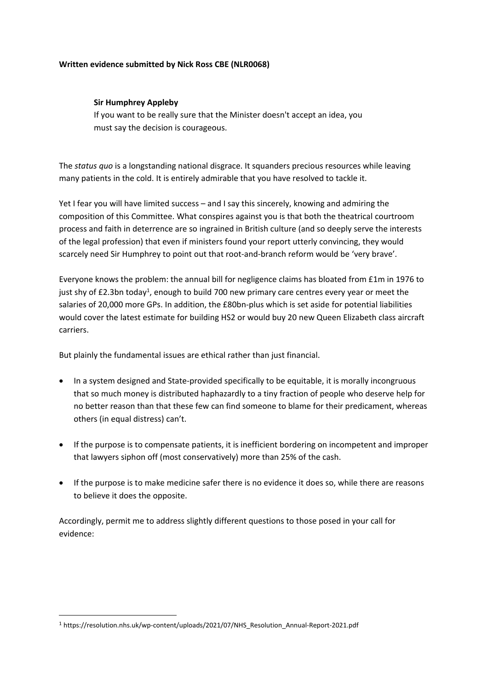### **Written evidence submitted by Nick Ross CBE (NLR0068)**

### **Sir Humphrey Appleby**

If you want to be really sure that the Minister doesn't accept an idea, you must say the decision is courageous.

The *status quo* is a longstanding national disgrace. It squanders precious resources while leaving many patients in the cold. It is entirely admirable that you have resolved to tackle it.

Yet I fear you will have limited success – and I say this sincerely, knowing and admiring the composition of this Committee. What conspires against you is that both the theatrical courtroom process and faith in deterrence are so ingrained in British culture (and so deeply serve the interests of the legal profession) that even if ministers found your report utterly convincing, they would scarcely need Sir Humphrey to point out that root-and-branch reform would be 'very brave'.

Everyone knows the problem: the annual bill for negligence claims has bloated from £1m in 1976 to just shy of £2.3bn today<sup>1</sup>, enough to build 700 new primary care centres every year or meet the salaries of 20,000 more GPs. In addition, the £80bn-plus which is set aside for potential liabilities would cover the latest estimate for building HS2 or would buy 20 new Queen Elizabeth class aircraft carriers.

But plainly the fundamental issues are ethical rather than just financial.

- In a system designed and State-provided specifically to be equitable, it is morally incongruous that so much money is distributed haphazardly to a tiny fraction of people who deserve help for no better reason than that these few can find someone to blame for their predicament, whereas others (in equal distress) can't.
- If the purpose is to compensate patients, it is inefficient bordering on incompetent and improper that lawyers siphon off (most conservatively) more than 25% of the cash.
- If the purpose is to make medicine safer there is no evidence it does so, while there are reasons to believe it does the opposite.

Accordingly, permit me to address slightly different questions to those posed in your call for evidence:

<sup>1</sup> https://resolution.nhs.uk/wp-content/uploads/2021/07/NHS\_Resolution\_Annual-Report-2021.pdf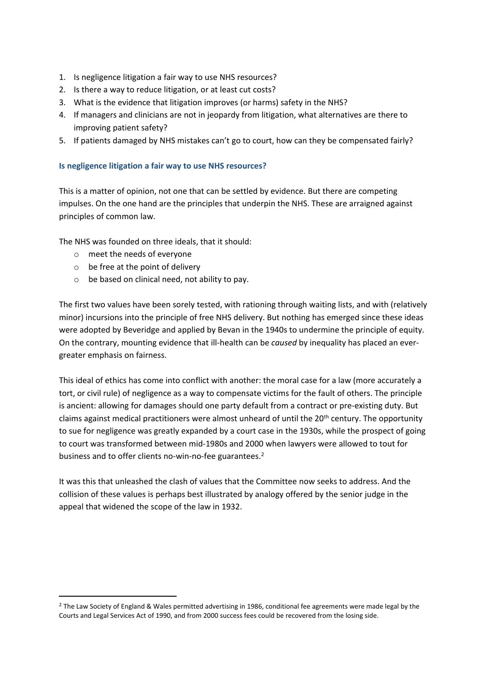- 1. Is negligence litigation a fair way to use NHS resources?
- 2. Is there a way to reduce litigation, or at least cut costs?
- 3. What is the evidence that litigation improves (or harms) safety in the NHS?
- 4. If managers and clinicians are not in jeopardy from litigation, what alternatives are there to improving patient safety?
- 5. If patients damaged by NHS mistakes can't go to court, how can they be compensated fairly?

### **Is negligence litigation a fair way to use NHS resources?**

This is a matter of opinion, not one that can be settled by evidence. But there are competing impulses. On the one hand are the principles that underpin the NHS. These are arraigned against principles of common law.

The NHS was founded on three ideals, that it should:

- o meet the needs of everyone
- $\circ$  be free at the point of delivery
- o be based on clinical need, not ability to pay.

The first two values have been sorely tested, with rationing through waiting lists, and with (relatively minor) incursions into the principle of free NHS delivery. But nothing has emerged since these ideas were adopted by Beveridge and applied by Bevan in the 1940s to undermine the principle of equity. On the contrary, mounting evidence that ill-health can be *caused* by inequality has placed an evergreater emphasis on fairness.

This ideal of ethics has come into conflict with another: the moral case for a law (more accurately a tort, or civil rule) of negligence as a way to compensate victims for the fault of others. The principle is ancient: allowing for damages should one party default from a contract or pre-existing duty. But claims against medical practitioners were almost unheard of until the 20<sup>th</sup> century. The opportunity to sue for negligence was greatly expanded by a court case in the 1930s, while the prospect of going to court was transformed between mid-1980s and 2000 when lawyers were allowed to tout for business and to offer clients no-win-no-fee guarantees.<sup>2</sup>

It was this that unleashed the clash of values that the Committee now seeks to address. And the collision of these values is perhaps best illustrated by analogy offered by the senior judge in the appeal that widened the scope of the law in 1932.

<sup>&</sup>lt;sup>2</sup> The Law Society of England & Wales permitted advertising in 1986, conditional fee agreements were made legal by the Courts and Legal Services Act of 1990, and from 2000 success fees could be recovered from the losing side.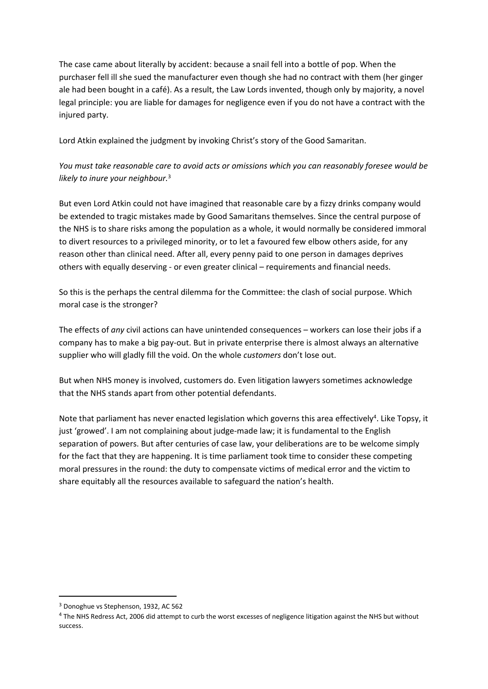The case came about literally by accident: because a snail fell into a bottle of pop. When the purchaser fell ill she sued the manufacturer even though she had no contract with them (her ginger ale had been bought in a café). As a result, the Law Lords invented, though only by majority, a novel legal principle: you are liable for damages for negligence even if you do not have a contract with the injured party.

Lord Atkin explained the judgment by invoking Christ's story of the Good Samaritan.

# *You must take reasonable care to avoid acts or omissions which you can reasonably foresee would be likely to inure your neighbour.*<sup>3</sup>

But even Lord Atkin could not have imagined that reasonable care by a fizzy drinks company would be extended to tragic mistakes made by Good Samaritans themselves. Since the central purpose of the NHS is to share risks among the population as a whole, it would normally be considered immoral to divert resources to a privileged minority, or to let a favoured few elbow others aside, for any reason other than clinical need. After all, every penny paid to one person in damages deprives others with equally deserving - or even greater clinical – requirements and financial needs.

So this is the perhaps the central dilemma for the Committee: the clash of social purpose. Which moral case is the stronger?

The effects of *any* civil actions can have unintended consequences – workers can lose their jobs if a company has to make a big pay-out. But in private enterprise there is almost always an alternative supplier who will gladly fill the void. On the whole *customers* don't lose out.

But when NHS money is involved, customers do. Even litigation lawyers sometimes acknowledge that the NHS stands apart from other potential defendants.

Note that parliament has never enacted legislation which governs this area effectively<sup>4</sup>. Like Topsy, it just 'growed'. I am not complaining about judge-made law; it is fundamental to the English separation of powers. But after centuries of case law, your deliberations are to be welcome simply for the fact that they are happening. It is time parliament took time to consider these competing moral pressures in the round: the duty to compensate victims of medical error and the victim to share equitably all the resources available to safeguard the nation's health.

<sup>3</sup> Donoghue vs Stephenson, 1932, AC 562

<sup>4</sup> The NHS Redress Act, 2006 did attempt to curb the worst excesses of negligence litigation against the NHS but without success.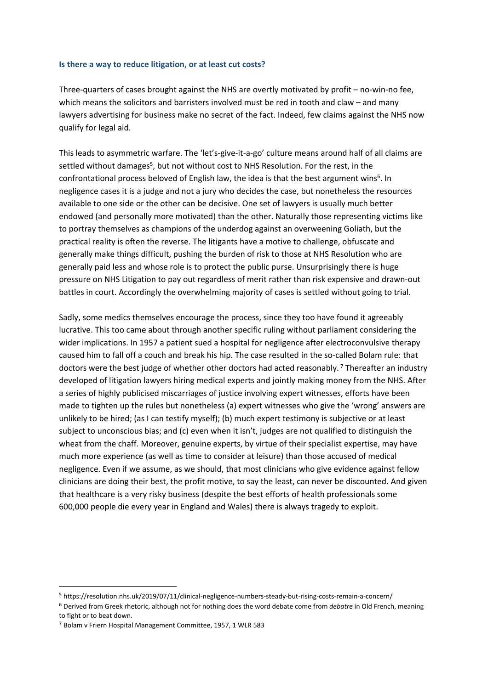#### **Is there a way to reduce litigation, or at least cut costs?**

Three-quarters of cases brought against the NHS are overtly motivated by profit – no-win-no fee, which means the solicitors and barristers involved must be red in tooth and claw – and many lawyers advertising for business make no secret of the fact. Indeed, few claims against the NHS now qualify for legal aid.

This leads to asymmetric warfare. The 'let's-give-it-a-go' culture means around half of all claims are settled without damages<sup>5</sup>, but not without cost to NHS Resolution. For the rest, in the confrontational process beloved of English law, the idea is that the best argument wins<sup>6</sup>. In negligence cases it is a judge and not a jury who decides the case, but nonetheless the resources available to one side or the other can be decisive. One set of lawyers is usually much better endowed (and personally more motivated) than the other. Naturally those representing victims like to portray themselves as champions of the underdog against an overweening Goliath, but the practical reality is often the reverse. The litigants have a motive to challenge, obfuscate and generally make things difficult, pushing the burden of risk to those at NHS Resolution who are generally paid less and whose role is to protect the public purse. Unsurprisingly there is huge pressure on NHS Litigation to pay out regardless of merit rather than risk expensive and drawn-out battles in court. Accordingly the overwhelming majority of cases is settled without going to trial.

Sadly, some medics themselves encourage the process, since they too have found it agreeably lucrative. This too came about through another specific ruling without parliament considering the wider implications. In 1957 a patient sued a hospital for negligence after electroconvulsive therapy caused him to fall off a couch and break his hip. The case resulted in the so-called Bolam rule: that doctors were the best judge of whether other doctors had acted reasonably.<sup>7</sup> Thereafter an industry developed of litigation lawyers hiring medical experts and jointly making money from the NHS. After a series of highly publicised miscarriages of justice involving expert witnesses, efforts have been made to tighten up the rules but nonetheless (a) expert witnesses who give the 'wrong' answers are unlikely to be hired; (as I can testify myself); (b) much expert testimony is subjective or at least subject to unconscious bias; and (c) even when it isn't, judges are not qualified to distinguish the wheat from the chaff. Moreover, genuine experts, by virtue of their specialist expertise, may have much more experience (as well as time to consider at leisure) than those accused of medical negligence. Even if we assume, as we should, that most clinicians who give evidence against fellow clinicians are doing their best, the profit motive, to say the least, can never be discounted. And given that healthcare is a very risky business (despite the best efforts of health professionals some 600,000 people die every year in England and Wales) there is always tragedy to exploit.

<sup>5</sup> https://resolution.nhs.uk/2019/07/11/clinical-negligence-numbers-steady-but-rising-costs-remain-a-concern/

<sup>6</sup> Derived from Greek rhetoric, although not for nothing does the word debate come from *debatre* in Old French, meaning to fight or to beat down.

<sup>7</sup> Bolam v Friern Hospital Management Committee, 1957, 1 WLR 583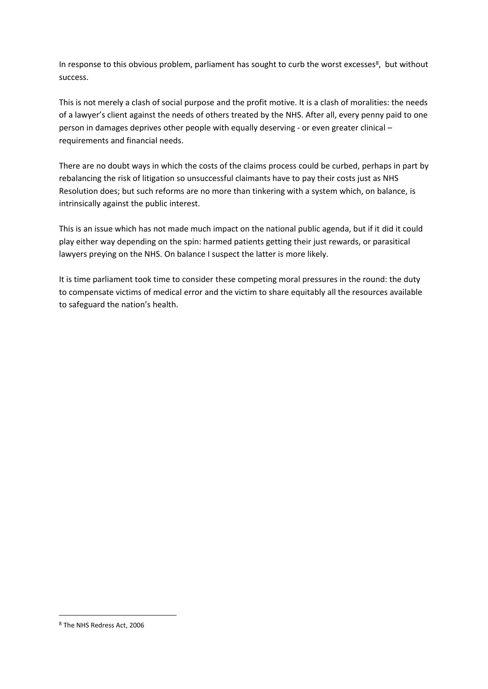In response to this obvious problem, parliament has sought to curb the worst excesses<sup>8</sup>, but without success.

This is not merely a clash of social purpose and the profit motive. It is a clash of moralities: the needs of a lawyer's client against the needs of others treated by the NHS. After all, every penny paid to one person in damages deprives other people with equally deserving - or even greater clinical – requirements and financial needs.

There are no doubt ways in which the costs of the claims process could be curbed, perhaps in part by rebalancing the risk of litigation so unsuccessful claimants have to pay their costs just as NHS Resolution does; but such reforms are no more than tinkering with a system which, on balance, is intrinsically against the public interest.

This is an issue which has not made much impact on the national public agenda, but if it did it could play either way depending on the spin: harmed patients getting their just rewards, or parasitical lawyers preying on the NHS. On balance I suspect the latter is more likely.

It is time parliament took time to consider these competing moral pressures in the round: the duty to compensate victims of medical error and the victim to share equitably all the resources available to safeguard the nation's health.

<sup>8</sup> The NHS Redress Act, 2006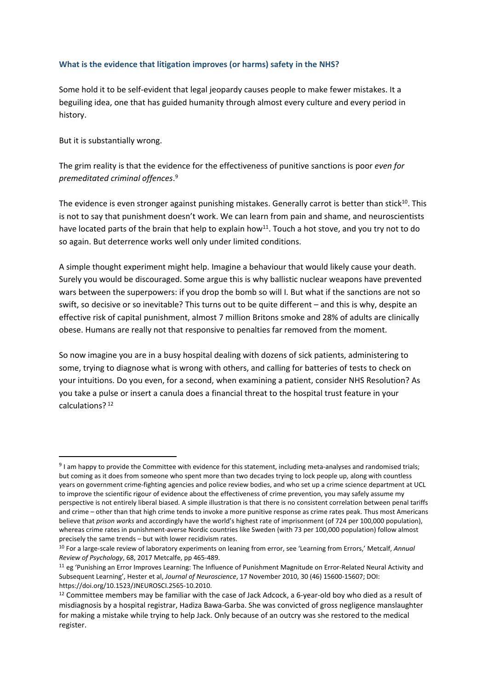### **What is the evidence that litigation improves (or harms) safety in the NHS?**

Some hold it to be self-evident that legal jeopardy causes people to make fewer mistakes. It a beguiling idea, one that has guided humanity through almost every culture and every period in history.

But it is substantially wrong.

The grim reality is that the evidence for the effectiveness of punitive sanctions is poor *even for premeditated criminal offences*. 9

The evidence is even stronger against punishing mistakes. Generally carrot is better than stick<sup>10</sup>. This is not to say that punishment doesn't work. We can learn from pain and shame, and neuroscientists have located parts of the brain that help to explain how<sup>11</sup>. Touch a hot stove, and you try not to do so again. But deterrence works well only under limited conditions.

A simple thought experiment might help. Imagine a behaviour that would likely cause your death. Surely you would be discouraged. Some argue this is why ballistic nuclear weapons have prevented wars between the superpowers: if you drop the bomb so will I. But what if the sanctions are not so swift, so decisive or so inevitable? This turns out to be quite different – and this is why, despite an effective risk of capital punishment, almost 7 million Britons smoke and 28% of adults are clinically obese. Humans are really not that responsive to penalties far removed from the moment.

So now imagine you are in a busy hospital dealing with dozens of sick patients, administering to some, trying to diagnose what is wrong with others, and calling for batteries of tests to check on your intuitions. Do you even, for a second, when examining a patient, consider NHS Resolution? As you take a pulse or insert a canula does a financial threat to the hospital trust feature in your calculations? <sup>12</sup>

<sup>&</sup>lt;sup>9</sup> I am happy to provide the Committee with evidence for this statement, including meta-analyses and randomised trials; but coming as it does from someone who spent more than two decades trying to lock people up, along with countless years on government crime-fighting agencies and police review bodies, and who set up a crime science department at UCL to improve the scientific rigour of evidence about the effectiveness of crime prevention, you may safely assume my perspective is not entirely liberal biased. A simple illustration is that there is no consistent correlation between penal tariffs and crime – other than that high crime tends to invoke a more punitive response as crime rates peak. Thus most Americans believe that *prison works* and accordingly have the world's highest rate of imprisonment (of 724 per 100,000 population), whereas crime rates in punishment-averse Nordic countries like Sweden (with 73 per 100,000 population) follow almost precisely the same trends – but with lower recidivism rates.

<sup>10</sup> For a large-scale review of laboratory experiments on leaning from error, see 'Learning from Errors,' Metcalf, *Annual Review of Psychology*, 68, 2017 Metcalfe, pp 465-489.

<sup>11</sup> eg 'Punishing an Error Improves Learning: The Influence of Punishment Magnitude on Error-Related Neural Activity and Subsequent Learning', Hester et al, *Journal of Neuroscience*, 17 November 2010, 30 (46) 15600-15607; DOI: https://doi.org/10.1523/JNEUROSCI.2565-10.2010.

<sup>&</sup>lt;sup>12</sup> Committee members may be familiar with the case of Jack Adcock, a 6-year-old boy who died as a result of misdiagnosis by a hospital registrar, Hadiza Bawa-Garba. She was convicted of gross negligence manslaughter for making a mistake while trying to help Jack. Only because of an outcry was she restored to the medical register.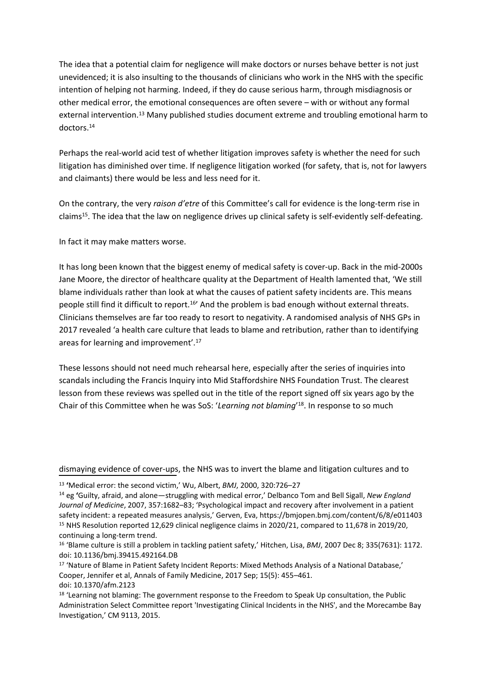The idea that a potential claim for negligence will make doctors or nurses behave better is not just unevidenced; it is also insulting to the thousands of clinicians who work in the NHS with the specific intention of helping not harming. Indeed, if they do cause serious harm, through misdiagnosis or other medical error, the emotional consequences are often severe – with or without any formal external intervention.<sup>13</sup> Many published studies document extreme and troubling emotional harm to doctors.<sup>14</sup>

Perhaps the real-world acid test of whether litigation improves safety is whether the need for such litigation has diminished over time. If negligence litigation worked (for safety, that is, not for lawyers and claimants) there would be less and less need for it.

On the contrary, the very *raison d'etre* of this Committee's call for evidence is the long-term rise in claims<sup>15</sup>. The idea that the law on negligence drives up clinical safety is self-evidently self-defeating.

In fact it may make matters worse.

It has long been known that the biggest enemy of medical safety is cover-up. Back in the mid-2000s Jane Moore, the director of healthcare quality at the Department of Health lamented that, 'We still blame individuals rather than look at what the causes of patient safety incidents are. This means people still find it difficult to report.<sup>16</sup>' And the problem is bad enough without external threats. Clinicians themselves are far too ready to resort to negativity. A randomised analysis of NHS GPs in 2017 revealed 'a health care culture that leads to blame and retribution, rather than to identifying areas for learning and improvement'.<sup>17</sup>

These lessons should not need much rehearsal here, especially after the series of inquiries into scandals including the Francis Inquiry into Mid Staffordshire NHS Foundation Trust. The clearest lesson from these reviews was spelled out in the title of the report signed off six years ago by the Chair of this Committee when he was SoS: '*Learning not blaming*' 18 . In response to so much

dismaying evidence of cover-ups, the NHS was to invert the blame and litigation cultures and to

<sup>13</sup> **'**Medical error: the second victim,' Wu, Albert, *BMJ*, 2000, 320:726–27

<sup>14</sup> eg **'**Guilty, afraid, and alone—struggling with medical error,' Delbanco Tom and Bell Sigall, *New England Journal of Medicine*, 2007, 357:1682–83; 'Psychological impact and recovery after involvement in a patient safety incident: a repeated measures analysis,' Gerven, Eva, https://bmjopen.bmj.com/content/6/8/e011403 <sup>15</sup> NHS Resolution reported 12,629 clinical negligence claims in 2020/21, compared to 11,678 in 2019/20, continuing a long-term trend.

<sup>&</sup>lt;sup>16</sup> 'Blame culture is still a problem in tackling patient safety,' Hitchen, Lisa, *BMJ*, 2007 Dec 8; 335(7631): 1172. doi: 10.1136/bmj.39415.492164.DB

<sup>17</sup> 'Nature of Blame in Patient Safety Incident Reports: Mixed Methods Analysis of a National Database,' Cooper, Jennifer et al, Annals of Family Medicine, 2017 Sep; 15(5): 455–461. doi: 10.1370/afm.2123

<sup>&</sup>lt;sup>18</sup> 'Learning not blaming: The government response to the Freedom to Speak Up consultation, the Public Administration Select Committee report 'Investigating Clinical Incidents in the NHS', and the Morecambe Bay Investigation,' CM 9113, 2015.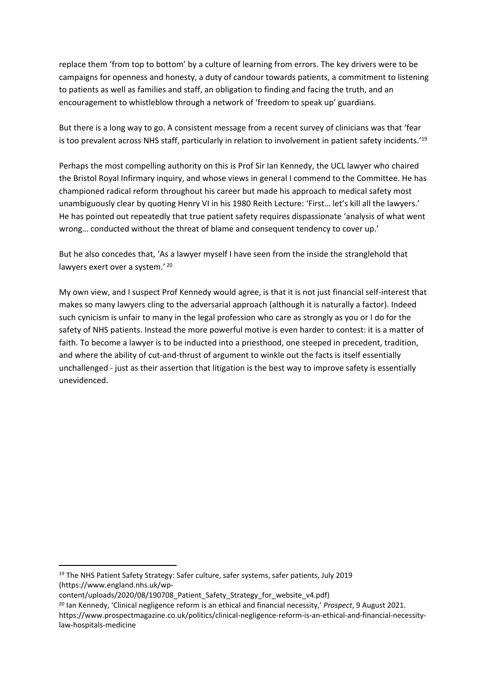replace them 'from top to bottom' by a culture of learning from errors. The key drivers were to be campaigns for openness and honesty, a duty of candour towards patients, a commitment to listening to patients as well as families and staff, an obligation to finding and facing the truth, and an encouragement to whistleblow through a network of 'freedom to speak up' guardians.

But there is a long way to go. A consistent message from a recent survey of clinicians was that 'fear is too prevalent across NHS staff, particularly in relation to involvement in patient safety incidents.'<sup>19</sup>

Perhaps the most compelling authority on this is Prof Sir Ian Kennedy, the UCL lawyer who chaired the Bristol Royal Infirmary inquiry, and whose views in general I commend to the Committee. He has championed radical reform throughout his career but made his approach to medical safety most unambiguously clear by quoting Henry VI in his 1980 Reith Lecture: 'First… let's kill all the lawyers.' He has pointed out repeatedly that true patient safety requires dispassionate 'analysis of what went wrong… conducted without the threat of blame and consequent tendency to cover up.'

But he also concedes that, 'As a lawyer myself I have seen from the inside the stranglehold that lawyers exert over a system.' 20

My own view, and I suspect Prof Kennedy would agree, is that it is not just financial self-interest that makes so many lawyers cling to the adversarial approach (although it is naturally a factor). Indeed such cynicism is unfair to many in the legal profession who care as strongly as you or I do for the safety of NHS patients. Instead the more powerful motive is even harder to contest: it is a matter of faith. To become a lawyer is to be inducted into a priesthood, one steeped in precedent, tradition, and where the ability of cut-and-thrust of argument to winkle out the facts is itself essentially unchallenged - just as their assertion that litigation is the best way to improve safety is essentially unevidenced.

<sup>&</sup>lt;sup>19</sup> The NHS Patient Safety Strategy: Safer culture, safer systems, safer patients, July 2019 (https://www.england.nhs.uk/wp-

content/uploads/2020/08/190708\_Patient\_Safety\_Strategy\_for\_website\_v4.pdf)

<sup>20</sup> Ian Kennedy, 'Clinical negligence reform is an ethical and financial necessity,' *Prospect*, 9 August 2021. https://www.prospectmagazine.co.uk/politics/clinical-negligence-reform-is-an-ethical-and-financial-necessitylaw-hospitals-medicine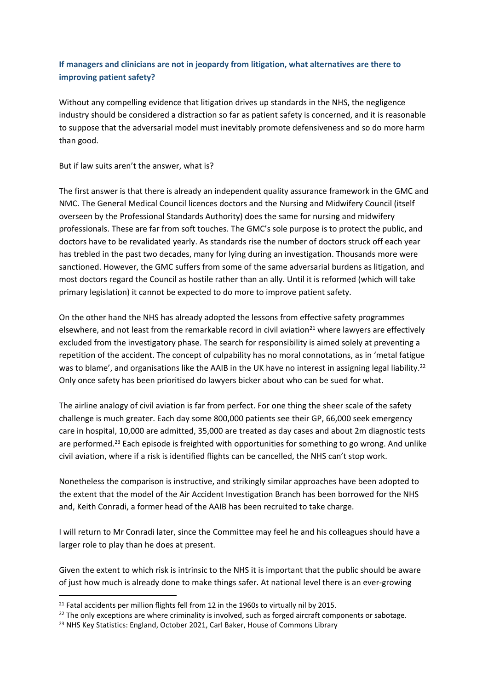## **If managers and clinicians are not in jeopardy from litigation, what alternatives are there to improving patient safety?**

Without any compelling evidence that litigation drives up standards in the NHS, the negligence industry should be considered a distraction so far as patient safety is concerned, and it is reasonable to suppose that the adversarial model must inevitably promote defensiveness and so do more harm than good.

### But if law suits aren't the answer, what is?

The first answer is that there is already an independent quality assurance framework in the GMC and NMC. The General Medical Council licences doctors and the Nursing and Midwifery Council (itself overseen by the Professional Standards Authority) does the same for nursing and midwifery professionals. These are far from soft touches. The GMC's sole purpose is to protect the public, and doctors have to be revalidated yearly. As standards rise the number of doctors struck off each year has trebled in the past two decades, many for lying during an investigation. Thousands more were sanctioned. However, the GMC suffers from some of the same adversarial burdens as litigation, and most doctors regard the Council as hostile rather than an ally. Until it is reformed (which will take primary legislation) it cannot be expected to do more to improve patient safety.

On the other hand the NHS has already adopted the lessons from effective safety programmes elsewhere, and not least from the remarkable record in civil aviation<sup>21</sup> where lawyers are effectively excluded from the investigatory phase. The search for responsibility is aimed solely at preventing a repetition of the accident. The concept of culpability has no moral connotations, as in 'metal fatigue was to blame', and organisations like the AAIB in the UK have no interest in assigning legal liability.<sup>22</sup> Only once safety has been prioritised do lawyers bicker about who can be sued for what.

The airline analogy of civil aviation is far from perfect. For one thing the sheer scale of the safety challenge is much greater. Each day some 800,000 patients see their GP, 66,000 seek emergency care in hospital, 10,000 are admitted, 35,000 are treated as day cases and about 2m diagnostic tests are performed.<sup>23</sup> Each episode is freighted with opportunities for something to go wrong. And unlike civil aviation, where if a risk is identified flights can be cancelled, the NHS can't stop work.

Nonetheless the comparison is instructive, and strikingly similar approaches have been adopted to the extent that the model of the Air Accident Investigation Branch has been borrowed for the NHS and, Keith Conradi, a former head of the AAIB has been recruited to take charge.

I will return to Mr Conradi later, since the Committee may feel he and his colleagues should have a larger role to play than he does at present.

Given the extent to which risk is intrinsic to the NHS it is important that the public should be aware of just how much is already done to make things safer. At national level there is an ever-growing

<sup>&</sup>lt;sup>21</sup> Fatal accidents per million flights fell from 12 in the 1960s to virtually nil by 2015.

 $22$  The only exceptions are where criminality is involved, such as forged aircraft components or sabotage.

<sup>&</sup>lt;sup>23</sup> NHS Key Statistics: England, October 2021, Carl Baker, House of Commons Library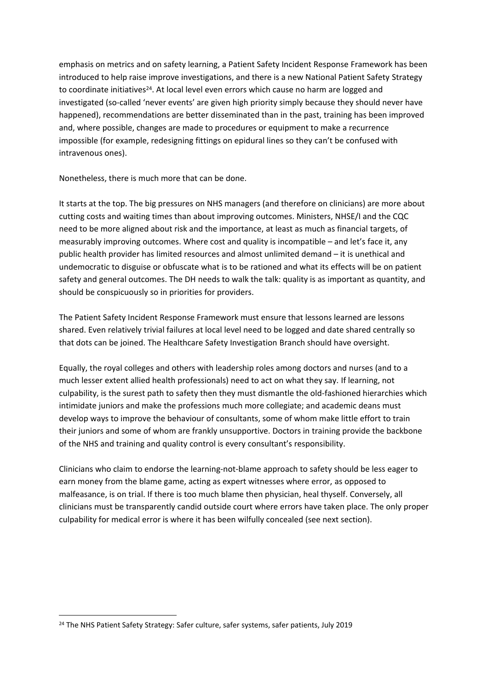emphasis on metrics and on safety learning, a Patient Safety Incident Response Framework has been introduced to help raise improve investigations, and there is a new National Patient Safety Strategy to coordinate initiatives<sup>24</sup>. At local level even errors which cause no harm are logged and investigated (so-called 'never events' are given high priority simply because they should never have happened), recommendations are better disseminated than in the past, training has been improved and, where possible, changes are made to procedures or equipment to make a recurrence impossible (for example, redesigning fittings on epidural lines so they can't be confused with intravenous ones).

Nonetheless, there is much more that can be done.

It starts at the top. The big pressures on NHS managers (and therefore on clinicians) are more about cutting costs and waiting times than about improving outcomes. Ministers, NHSE/I and the CQC need to be more aligned about risk and the importance, at least as much as financial targets, of measurably improving outcomes. Where cost and quality is incompatible – and let's face it, any public health provider has limited resources and almost unlimited demand – it is unethical and undemocratic to disguise or obfuscate what is to be rationed and what its effects will be on patient safety and general outcomes. The DH needs to walk the talk: quality is as important as quantity, and should be conspicuously so in priorities for providers.

The Patient Safety Incident Response Framework must ensure that lessons learned are lessons shared. Even relatively trivial failures at local level need to be logged and date shared centrally so that dots can be joined. The Healthcare Safety Investigation Branch should have oversight.

Equally, the royal colleges and others with leadership roles among doctors and nurses (and to a much lesser extent allied health professionals) need to act on what they say. If learning, not culpability, is the surest path to safety then they must dismantle the old-fashioned hierarchies which intimidate juniors and make the professions much more collegiate; and academic deans must develop ways to improve the behaviour of consultants, some of whom make little effort to train their juniors and some of whom are frankly unsupportive. Doctors in training provide the backbone of the NHS and training and quality control is every consultant's responsibility.

Clinicians who claim to endorse the learning-not-blame approach to safety should be less eager to earn money from the blame game, acting as expert witnesses where error, as opposed to malfeasance, is on trial. If there is too much blame then physician, heal thyself. Conversely, all clinicians must be transparently candid outside court where errors have taken place. The only proper culpability for medical error is where it has been wilfully concealed (see next section).

<sup>&</sup>lt;sup>24</sup> The NHS Patient Safety Strategy: Safer culture, safer systems, safer patients, July 2019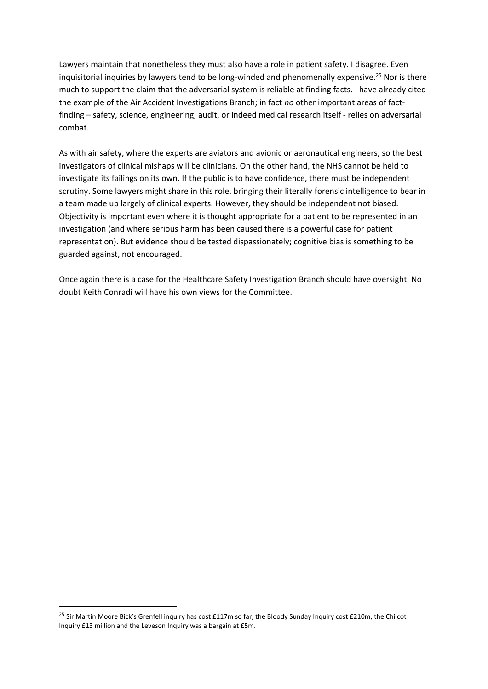Lawyers maintain that nonetheless they must also have a role in patient safety. I disagree. Even inquisitorial inquiries by lawyers tend to be long-winded and phenomenally expensive.<sup>25</sup> Nor is there much to support the claim that the adversarial system is reliable at finding facts. I have already cited the example of the Air Accident Investigations Branch; in fact *no* other important areas of factfinding – safety, science, engineering, audit, or indeed medical research itself - relies on adversarial combat.

As with air safety, where the experts are aviators and avionic or aeronautical engineers, so the best investigators of clinical mishaps will be clinicians. On the other hand, the NHS cannot be held to investigate its failings on its own. If the public is to have confidence, there must be independent scrutiny. Some lawyers might share in this role, bringing their literally forensic intelligence to bear in a team made up largely of clinical experts. However, they should be independent not biased. Objectivity is important even where it is thought appropriate for a patient to be represented in an investigation (and where serious harm has been caused there is a powerful case for patient representation). But evidence should be tested dispassionately; cognitive bias is something to be guarded against, not encouraged.

Once again there is a case for the Healthcare Safety Investigation Branch should have oversight. No doubt Keith Conradi will have his own views for the Committee.

<sup>&</sup>lt;sup>25</sup> Sir Martin Moore Bick's Grenfell inquiry has cost £117m so far, the Bloody Sunday Inquiry cost £210m, the Chilcot Inquiry £13 million and the Leveson Inquiry was a bargain at £5m.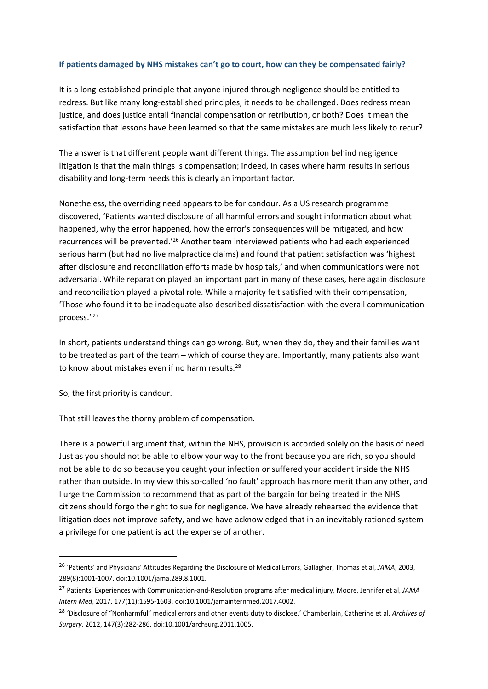### **If patients damaged by NHS mistakes can't go to court, how can they be compensated fairly?**

It is a long-established principle that anyone injured through negligence should be entitled to redress. But like many long-established principles, it needs to be challenged. Does redress mean justice, and does justice entail financial compensation or retribution, or both? Does it mean the satisfaction that lessons have been learned so that the same mistakes are much less likely to recur?

The answer is that different people want different things. The assumption behind negligence litigation is that the main things is compensation; indeed, in cases where harm results in serious disability and long-term needs this is clearly an important factor.

Nonetheless, the overriding need appears to be for candour. As a US research programme discovered, 'Patients wanted disclosure of all harmful errors and sought information about what happened, why the error happened, how the error's consequences will be mitigated, and how recurrences will be prevented.'<sup>26</sup> Another team interviewed patients who had each experienced serious harm (but had no live malpractice claims) and found that patient satisfaction was 'highest after disclosure and reconciliation efforts made by hospitals,' and when communications were not adversarial. While reparation played an important part in many of these cases, here again disclosure and reconciliation played a pivotal role. While a majority felt satisfied with their compensation, 'Those who found it to be inadequate also described dissatisfaction with the overall communication process.' <sup>27</sup>

In short, patients understand things can go wrong. But, when they do, they and their families want to be treated as part of the team – which of course they are. Importantly, many patients also want to know about mistakes even if no harm results.<sup>28</sup>

So, the first priority is candour.

That still leaves the thorny problem of compensation.

There is a powerful argument that, within the NHS, provision is accorded solely on the basis of need. Just as you should not be able to elbow your way to the front because you are rich, so you should not be able to do so because you caught your infection or suffered your accident inside the NHS rather than outside. In my view this so-called 'no fault' approach has more merit than any other, and I urge the Commission to recommend that as part of the bargain for being treated in the NHS citizens should forgo the right to sue for negligence. We have already rehearsed the evidence that litigation does not improve safety, and we have acknowledged that in an inevitably rationed system a privilege for one patient is act the expense of another.

<sup>26</sup> 'Patients' and Physicians' Attitudes Regarding the Disclosure of Medical Errors, Gallagher, Thomas et al, *JAMA*, 2003, 289(8):1001-1007. doi:10.1001/jama.289.8.1001.

<sup>27</sup> Patients' Experiences with Communication-and-Resolution programs after medical injury, Moore, Jennifer et al, *JAMA Intern Med*, 2017, 177(11):1595-1603. doi:10.1001/jamainternmed.2017.4002.

<sup>28</sup> 'Disclosure of "Nonharmful" medical errors and other events duty to disclose,' Chamberlain, Catherine et al, *Archives of Surgery*, 2012, 147(3):282-286. doi:10.1001/archsurg.2011.1005.